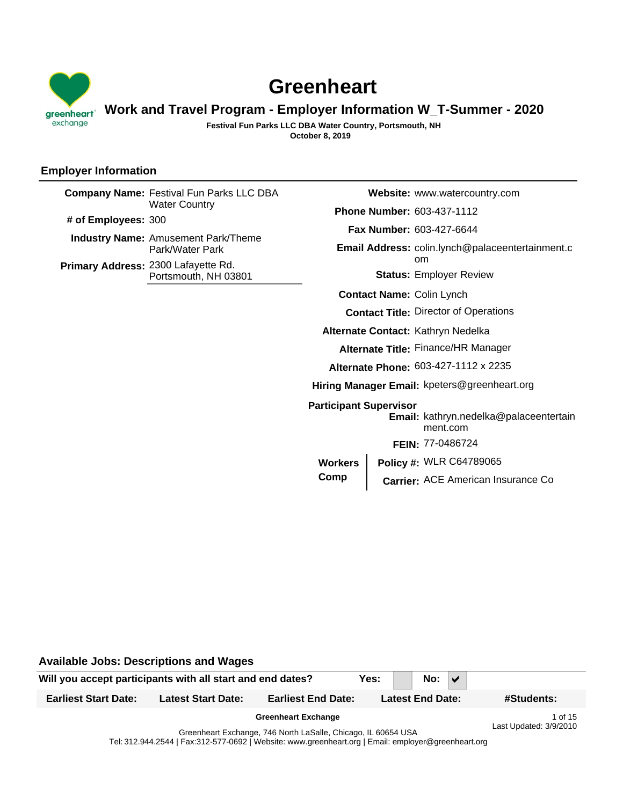

# **Greenheart**

# **Work and Travel Program - Employer Information W\_T-Summer - 2020**

**October 8, 2019 Festival Fun Parks LLC DBA Water Country, Portsmouth, NH**

## **Employer Information**

|                     | <b>Company Name: Festival Fun Parks LLC DBA</b>               |                                                  |  | Website: www.watercountry.com                                          |  |  |  |  |
|---------------------|---------------------------------------------------------------|--------------------------------------------------|--|------------------------------------------------------------------------|--|--|--|--|
|                     | <b>Water Country</b>                                          |                                                  |  | Phone Number: 603-437-1112                                             |  |  |  |  |
| # of Employees: 300 |                                                               |                                                  |  | Fax Number: 603-427-6644                                               |  |  |  |  |
|                     | <b>Industry Name: Amusement Park/Theme</b><br>Park/Water Park | Email Address: colin.lynch@palaceentertainment.c |  |                                                                        |  |  |  |  |
|                     | Primary Address: 2300 Lafayette Rd.<br>Portsmouth, NH 03801   |                                                  |  | <sub>om</sub><br><b>Status: Employer Review</b>                        |  |  |  |  |
|                     |                                                               | <b>Contact Name: Colin Lynch</b>                 |  |                                                                        |  |  |  |  |
|                     |                                                               |                                                  |  | <b>Contact Title: Director of Operations</b>                           |  |  |  |  |
|                     |                                                               |                                                  |  | Alternate Contact: Kathryn Nedelka                                     |  |  |  |  |
|                     |                                                               |                                                  |  | Alternate Title: Finance/HR Manager                                    |  |  |  |  |
|                     |                                                               | Alternate Phone: 603-427-1112 x 2235             |  |                                                                        |  |  |  |  |
|                     |                                                               | Hiring Manager Email: kpeters@greenheart.org     |  |                                                                        |  |  |  |  |
|                     |                                                               | <b>Participant Supervisor</b>                    |  | Email: kathryn.nedelka@palaceentertain<br>ment.com<br>FEIN: 77-0486724 |  |  |  |  |
|                     |                                                               | <b>Workers</b>                                   |  | Policy #: WLR C64789065                                                |  |  |  |  |
|                     |                                                               | Comp                                             |  | Carrier: ACE American Insurance Co                                     |  |  |  |  |
|                     |                                                               |                                                  |  |                                                                        |  |  |  |  |

Will you accept participants with all start and end dates? **Yes:** No:  $\sqrt{ }$ **Available Jobs: Descriptions and Wages Earliest Start Date: Latest Start Date: Earliest End Date: Latest End Date: #Students:** Greenheart Exchange, 746 North LaSalle, Chicago, IL 60654 USA Greenheart Exchange **1 of 15** Last Updated: 3/9/2010

Tel: 312.944.2544 | Fax:312-577-0692 | Website: www.greenheart.org | Email: employer@greenheart.org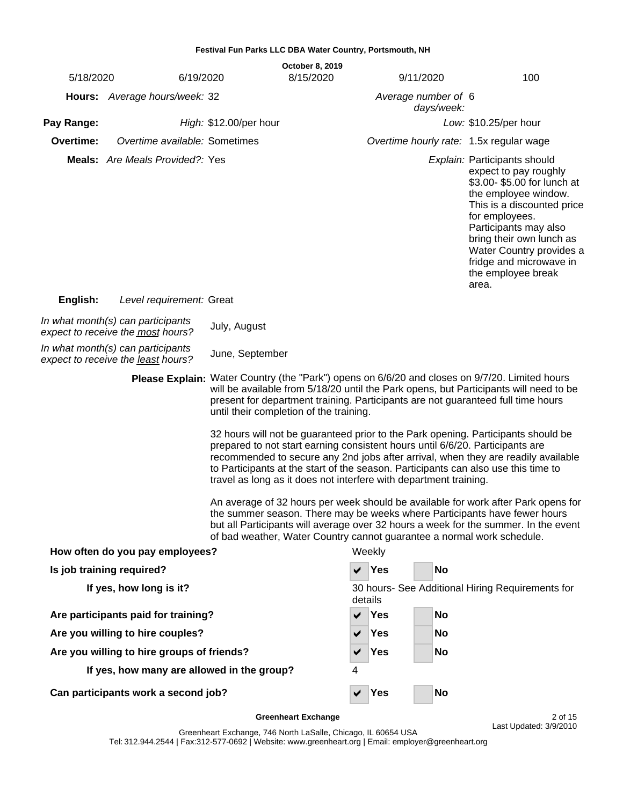|                                                                                                                                                                                                                                                                                                                                                                                                                                                                                                                                                                                                                                                                                                                                                                                                                                                                                                                                                                                                                                                                                 |                                                                         | Festival Fun Parks LLC DBA Water Country, Portsmouth, NH |  |                                   |            |           |    |                                                                                                                                                                                                                                                                                                        |  |  |
|---------------------------------------------------------------------------------------------------------------------------------------------------------------------------------------------------------------------------------------------------------------------------------------------------------------------------------------------------------------------------------------------------------------------------------------------------------------------------------------------------------------------------------------------------------------------------------------------------------------------------------------------------------------------------------------------------------------------------------------------------------------------------------------------------------------------------------------------------------------------------------------------------------------------------------------------------------------------------------------------------------------------------------------------------------------------------------|-------------------------------------------------------------------------|----------------------------------------------------------|--|-----------------------------------|------------|-----------|----|--------------------------------------------------------------------------------------------------------------------------------------------------------------------------------------------------------------------------------------------------------------------------------------------------------|--|--|
| 5/18/2020                                                                                                                                                                                                                                                                                                                                                                                                                                                                                                                                                                                                                                                                                                                                                                                                                                                                                                                                                                                                                                                                       | 6/19/2020                                                               | <b>October 8, 2019</b><br>8/15/2020                      |  |                                   |            | 9/11/2020 |    | 100                                                                                                                                                                                                                                                                                                    |  |  |
|                                                                                                                                                                                                                                                                                                                                                                                                                                                                                                                                                                                                                                                                                                                                                                                                                                                                                                                                                                                                                                                                                 | Hours: Average hours/week: 32                                           |                                                          |  | Average number of 6<br>days/week: |            |           |    |                                                                                                                                                                                                                                                                                                        |  |  |
| Pay Range:                                                                                                                                                                                                                                                                                                                                                                                                                                                                                                                                                                                                                                                                                                                                                                                                                                                                                                                                                                                                                                                                      |                                                                         | High: \$12.00/per hour                                   |  |                                   |            |           |    | Low: \$10.25/per hour                                                                                                                                                                                                                                                                                  |  |  |
| Overtime:                                                                                                                                                                                                                                                                                                                                                                                                                                                                                                                                                                                                                                                                                                                                                                                                                                                                                                                                                                                                                                                                       | Overtime available: Sometimes                                           |                                                          |  |                                   |            |           |    | Overtime hourly rate: 1.5x regular wage                                                                                                                                                                                                                                                                |  |  |
|                                                                                                                                                                                                                                                                                                                                                                                                                                                                                                                                                                                                                                                                                                                                                                                                                                                                                                                                                                                                                                                                                 | <b>Meals:</b> Are Meals Provided?: Yes                                  |                                                          |  |                                   |            |           |    | Explain: Participants should<br>expect to pay roughly<br>\$3.00-\$5.00 for lunch at<br>the employee window.<br>This is a discounted price<br>for employees.<br>Participants may also<br>bring their own lunch as<br>Water Country provides a<br>fridge and microwave in<br>the employee break<br>area. |  |  |
| English:                                                                                                                                                                                                                                                                                                                                                                                                                                                                                                                                                                                                                                                                                                                                                                                                                                                                                                                                                                                                                                                                        | Level requirement: Great                                                |                                                          |  |                                   |            |           |    |                                                                                                                                                                                                                                                                                                        |  |  |
|                                                                                                                                                                                                                                                                                                                                                                                                                                                                                                                                                                                                                                                                                                                                                                                                                                                                                                                                                                                                                                                                                 | In what month(s) can participants<br>expect to receive the most hours?  | July, August                                             |  |                                   |            |           |    |                                                                                                                                                                                                                                                                                                        |  |  |
|                                                                                                                                                                                                                                                                                                                                                                                                                                                                                                                                                                                                                                                                                                                                                                                                                                                                                                                                                                                                                                                                                 | In what month(s) can participants<br>expect to receive the least hours? | June, September                                          |  |                                   |            |           |    |                                                                                                                                                                                                                                                                                                        |  |  |
| Please Explain: Water Country (the "Park") opens on 6/6/20 and closes on 9/7/20. Limited hours<br>will be available from 5/18/20 until the Park opens, but Participants will need to be<br>present for department training. Participants are not guaranteed full time hours<br>until their completion of the training.<br>32 hours will not be guaranteed prior to the Park opening. Participants should be<br>prepared to not start earning consistent hours until 6/6/20. Participants are<br>recommended to secure any 2nd jobs after arrival, when they are readily available<br>to Participants at the start of the season. Participants can also use this time to<br>travel as long as it does not interfere with department training.<br>An average of 32 hours per week should be available for work after Park opens for<br>the summer season. There may be weeks where Participants have fewer hours<br>but all Participants will average over 32 hours a week for the summer. In the event<br>of bad weather, Water Country cannot guarantee a normal work schedule. |                                                                         |                                                          |  |                                   |            |           |    |                                                                                                                                                                                                                                                                                                        |  |  |
|                                                                                                                                                                                                                                                                                                                                                                                                                                                                                                                                                                                                                                                                                                                                                                                                                                                                                                                                                                                                                                                                                 | How often do you pay employees?                                         |                                                          |  | Weekly                            |            |           |    |                                                                                                                                                                                                                                                                                                        |  |  |
|                                                                                                                                                                                                                                                                                                                                                                                                                                                                                                                                                                                                                                                                                                                                                                                                                                                                                                                                                                                                                                                                                 | Is job training required?                                               |                                                          |  |                                   | Yes        |           | No |                                                                                                                                                                                                                                                                                                        |  |  |
|                                                                                                                                                                                                                                                                                                                                                                                                                                                                                                                                                                                                                                                                                                                                                                                                                                                                                                                                                                                                                                                                                 | If yes, how long is it?                                                 |                                                          |  | details                           |            |           |    | 30 hours- See Additional Hiring Requirements for                                                                                                                                                                                                                                                       |  |  |
|                                                                                                                                                                                                                                                                                                                                                                                                                                                                                                                                                                                                                                                                                                                                                                                                                                                                                                                                                                                                                                                                                 | Are participants paid for training?                                     |                                                          |  | ✔                                 | <b>Yes</b> |           | No |                                                                                                                                                                                                                                                                                                        |  |  |
|                                                                                                                                                                                                                                                                                                                                                                                                                                                                                                                                                                                                                                                                                                                                                                                                                                                                                                                                                                                                                                                                                 | Are you willing to hire couples?                                        |                                                          |  | ✔                                 | Yes        |           | No |                                                                                                                                                                                                                                                                                                        |  |  |
|                                                                                                                                                                                                                                                                                                                                                                                                                                                                                                                                                                                                                                                                                                                                                                                                                                                                                                                                                                                                                                                                                 | Are you willing to hire groups of friends?                              |                                                          |  |                                   | Yes        |           | No |                                                                                                                                                                                                                                                                                                        |  |  |
|                                                                                                                                                                                                                                                                                                                                                                                                                                                                                                                                                                                                                                                                                                                                                                                                                                                                                                                                                                                                                                                                                 | If yes, how many are allowed in the group?                              |                                                          |  | 4                                 |            |           |    |                                                                                                                                                                                                                                                                                                        |  |  |
|                                                                                                                                                                                                                                                                                                                                                                                                                                                                                                                                                                                                                                                                                                                                                                                                                                                                                                                                                                                                                                                                                 | Can participants work a second job?                                     |                                                          |  | ✔                                 | <b>Yes</b> |           | No |                                                                                                                                                                                                                                                                                                        |  |  |

**Greenheart Exchange** 2 of 15

Greenheart Exchange, 746 North LaSalle, Chicago, IL 60654 USA Tel: 312.944.2544 | Fax:312-577-0692 | Website: www.greenheart.org | Email: employer@greenheart.org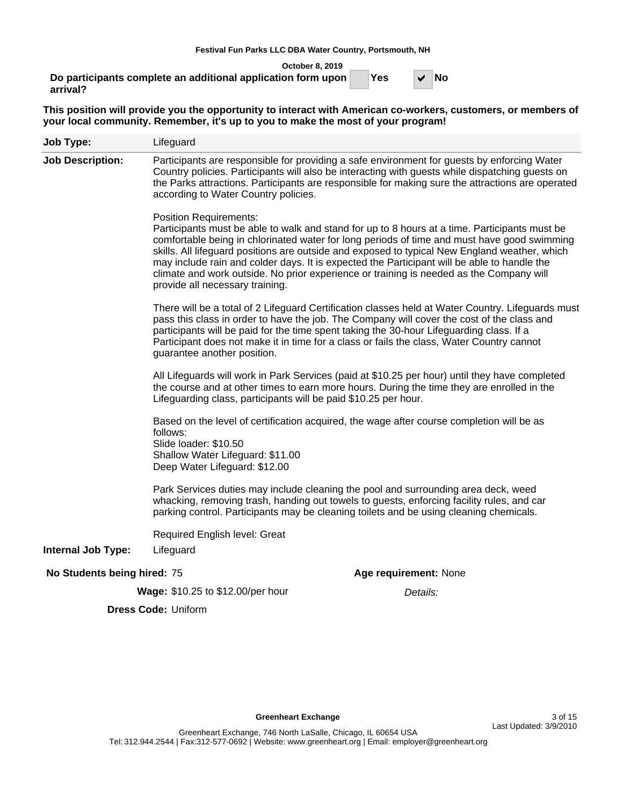**October 8, 2019**

**Do participants complete an additional application form upon | Yes | V arrival?**

Yes  $\vert \vee \vert$  No

**This position will provide you the opportunity to interact with American co-workers, customers, or members of your local community. Remember, it's up to you to make the most of your program!**

| <b>Job Type:</b>            | Lifeguard                                                                                                                                                                                                                                                                                                                                                                                                                                                                                                                                                   |  |  |  |  |  |  |  |  |
|-----------------------------|-------------------------------------------------------------------------------------------------------------------------------------------------------------------------------------------------------------------------------------------------------------------------------------------------------------------------------------------------------------------------------------------------------------------------------------------------------------------------------------------------------------------------------------------------------------|--|--|--|--|--|--|--|--|
| <b>Job Description:</b>     | Participants are responsible for providing a safe environment for guests by enforcing Water<br>Country policies. Participants will also be interacting with guests while dispatching guests on<br>the Parks attractions. Participants are responsible for making sure the attractions are operated<br>according to Water Country policies.                                                                                                                                                                                                                  |  |  |  |  |  |  |  |  |
|                             | <b>Position Requirements:</b><br>Participants must be able to walk and stand for up to 8 hours at a time. Participants must be<br>comfortable being in chlorinated water for long periods of time and must have good swimming<br>skills. All lifeguard positions are outside and exposed to typical New England weather, which<br>may include rain and colder days. It is expected the Participant will be able to handle the<br>climate and work outside. No prior experience or training is needed as the Company will<br>provide all necessary training. |  |  |  |  |  |  |  |  |
|                             | There will be a total of 2 Lifeguard Certification classes held at Water Country. Lifeguards must<br>pass this class in order to have the job. The Company will cover the cost of the class and<br>participants will be paid for the time spent taking the 30-hour Lifeguarding class. If a<br>Participant does not make it in time for a class or fails the class, Water Country cannot<br>guarantee another position.                                                                                                                                     |  |  |  |  |  |  |  |  |
|                             | All Lifeguards will work in Park Services (paid at \$10.25 per hour) until they have completed<br>the course and at other times to earn more hours. During the time they are enrolled in the<br>Lifeguarding class, participants will be paid \$10.25 per hour.                                                                                                                                                                                                                                                                                             |  |  |  |  |  |  |  |  |
|                             | Based on the level of certification acquired, the wage after course completion will be as<br>follows:<br>Slide loader: \$10.50<br>Shallow Water Lifeguard: \$11.00<br>Deep Water Lifeguard: \$12.00                                                                                                                                                                                                                                                                                                                                                         |  |  |  |  |  |  |  |  |
|                             | Park Services duties may include cleaning the pool and surrounding area deck, weed<br>whacking, removing trash, handing out towels to guests, enforcing facility rules, and car<br>parking control. Participants may be cleaning toilets and be using cleaning chemicals.                                                                                                                                                                                                                                                                                   |  |  |  |  |  |  |  |  |
| <b>Internal Job Type:</b>   | Required English level: Great<br>Lifeguard                                                                                                                                                                                                                                                                                                                                                                                                                                                                                                                  |  |  |  |  |  |  |  |  |
| No Students being hired: 75 | Age requirement: None                                                                                                                                                                                                                                                                                                                                                                                                                                                                                                                                       |  |  |  |  |  |  |  |  |
|                             | Wage: \$10.25 to \$12.00/per hour<br>Details:                                                                                                                                                                                                                                                                                                                                                                                                                                                                                                               |  |  |  |  |  |  |  |  |
|                             | <b>Dress Code: Uniform</b>                                                                                                                                                                                                                                                                                                                                                                                                                                                                                                                                  |  |  |  |  |  |  |  |  |
|                             |                                                                                                                                                                                                                                                                                                                                                                                                                                                                                                                                                             |  |  |  |  |  |  |  |  |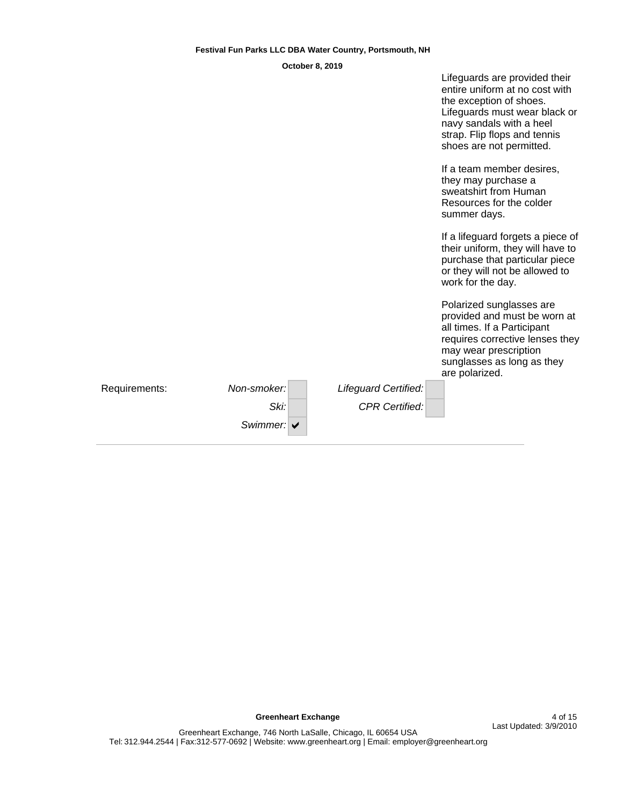| October 8, 2019 |  |
|-----------------|--|
|-----------------|--|

|               |             |                       | Lifeguards are provided their<br>entire uniform at no cost with<br>the exception of shoes.<br>Lifeguards must wear black or<br>navy sandals with a heel<br>strap. Flip flops and tennis<br>shoes are not permitted. |
|---------------|-------------|-----------------------|---------------------------------------------------------------------------------------------------------------------------------------------------------------------------------------------------------------------|
|               |             |                       | If a team member desires,<br>they may purchase a<br>sweatshirt from Human<br>Resources for the colder<br>summer days.                                                                                               |
|               |             |                       | If a lifeguard forgets a piece of<br>their uniform, they will have to<br>purchase that particular piece<br>or they will not be allowed to<br>work for the day.                                                      |
|               |             |                       | Polarized sunglasses are<br>provided and must be worn at<br>all times. If a Participant<br>requires corrective lenses they<br>may wear prescription<br>sunglasses as long as they<br>are polarized.                 |
| Requirements: | Non-smoker: | Lifeguard Certified:  |                                                                                                                                                                                                                     |
|               | Ski:        | <b>CPR Certified:</b> |                                                                                                                                                                                                                     |
|               | Swimmer: V  |                       |                                                                                                                                                                                                                     |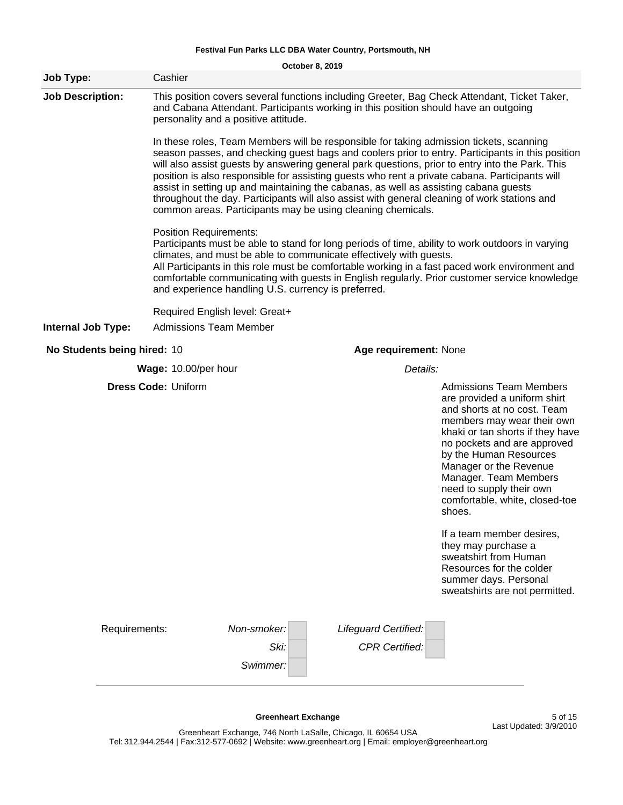|                             |                                | October 8, 2019                                                                                                                                                                                                                                                                                                                                                                                                                                                                                                                                                                                                                                         |                                               |                                                                                                                                                                                                                                                                                                                                                                                                                                                                                       |  |  |  |  |  |  |  |  |
|-----------------------------|--------------------------------|---------------------------------------------------------------------------------------------------------------------------------------------------------------------------------------------------------------------------------------------------------------------------------------------------------------------------------------------------------------------------------------------------------------------------------------------------------------------------------------------------------------------------------------------------------------------------------------------------------------------------------------------------------|-----------------------------------------------|---------------------------------------------------------------------------------------------------------------------------------------------------------------------------------------------------------------------------------------------------------------------------------------------------------------------------------------------------------------------------------------------------------------------------------------------------------------------------------------|--|--|--|--|--|--|--|--|
| Job Type:                   | Cashier                        |                                                                                                                                                                                                                                                                                                                                                                                                                                                                                                                                                                                                                                                         |                                               |                                                                                                                                                                                                                                                                                                                                                                                                                                                                                       |  |  |  |  |  |  |  |  |
| <b>Job Description:</b>     |                                | and Cabana Attendant. Participants working in this position should have an outgoing<br>personality and a positive attitude.                                                                                                                                                                                                                                                                                                                                                                                                                                                                                                                             |                                               | This position covers several functions including Greeter, Bag Check Attendant, Ticket Taker,                                                                                                                                                                                                                                                                                                                                                                                          |  |  |  |  |  |  |  |  |
|                             |                                | In these roles, Team Members will be responsible for taking admission tickets, scanning<br>season passes, and checking guest bags and coolers prior to entry. Participants in this position<br>will also assist guests by answering general park questions, prior to entry into the Park. This<br>position is also responsible for assisting guests who rent a private cabana. Participants will<br>assist in setting up and maintaining the cabanas, as well as assisting cabana guests<br>throughout the day. Participants will also assist with general cleaning of work stations and<br>common areas. Participants may be using cleaning chemicals. |                                               |                                                                                                                                                                                                                                                                                                                                                                                                                                                                                       |  |  |  |  |  |  |  |  |
|                             |                                | <b>Position Requirements:</b><br>Participants must be able to stand for long periods of time, ability to work outdoors in varying<br>climates, and must be able to communicate effectively with guests.<br>All Participants in this role must be comfortable working in a fast paced work environment and<br>comfortable communicating with guests in English regularly. Prior customer service knowledge<br>and experience handling U.S. currency is preferred.                                                                                                                                                                                        |                                               |                                                                                                                                                                                                                                                                                                                                                                                                                                                                                       |  |  |  |  |  |  |  |  |
|                             | Required English level: Great+ |                                                                                                                                                                                                                                                                                                                                                                                                                                                                                                                                                                                                                                                         |                                               |                                                                                                                                                                                                                                                                                                                                                                                                                                                                                       |  |  |  |  |  |  |  |  |
| <b>Internal Job Type:</b>   |                                | <b>Admissions Team Member</b>                                                                                                                                                                                                                                                                                                                                                                                                                                                                                                                                                                                                                           |                                               |                                                                                                                                                                                                                                                                                                                                                                                                                                                                                       |  |  |  |  |  |  |  |  |
| No Students being hired: 10 |                                |                                                                                                                                                                                                                                                                                                                                                                                                                                                                                                                                                                                                                                                         | Age requirement: None                         |                                                                                                                                                                                                                                                                                                                                                                                                                                                                                       |  |  |  |  |  |  |  |  |
|                             | Wage: 10.00/per hour           |                                                                                                                                                                                                                                                                                                                                                                                                                                                                                                                                                                                                                                                         | Details:                                      |                                                                                                                                                                                                                                                                                                                                                                                                                                                                                       |  |  |  |  |  |  |  |  |
|                             | <b>Dress Code: Uniform</b>     |                                                                                                                                                                                                                                                                                                                                                                                                                                                                                                                                                                                                                                                         |                                               | <b>Admissions Team Members</b><br>are provided a uniform shirt<br>and shorts at no cost. Team<br>members may wear their own<br>khaki or tan shorts if they have<br>no pockets and are approved<br>by the Human Resources<br>Manager or the Revenue<br>Manager. Team Members<br>need to supply their own<br>comfortable, white, closed-toe<br>shoes.<br>If a team member desires,<br>they may purchase a<br>sweatshirt from Human<br>Resources for the colder<br>summer days. Personal |  |  |  |  |  |  |  |  |
|                             |                                |                                                                                                                                                                                                                                                                                                                                                                                                                                                                                                                                                                                                                                                         |                                               | sweatshirts are not permitted.                                                                                                                                                                                                                                                                                                                                                                                                                                                        |  |  |  |  |  |  |  |  |
|                             | Requirements:                  | Non-smoker:<br>Ski:<br>Swimmer:                                                                                                                                                                                                                                                                                                                                                                                                                                                                                                                                                                                                                         | Lifeguard Certified:<br><b>CPR Certified:</b> |                                                                                                                                                                                                                                                                                                                                                                                                                                                                                       |  |  |  |  |  |  |  |  |
|                             |                                |                                                                                                                                                                                                                                                                                                                                                                                                                                                                                                                                                                                                                                                         |                                               |                                                                                                                                                                                                                                                                                                                                                                                                                                                                                       |  |  |  |  |  |  |  |  |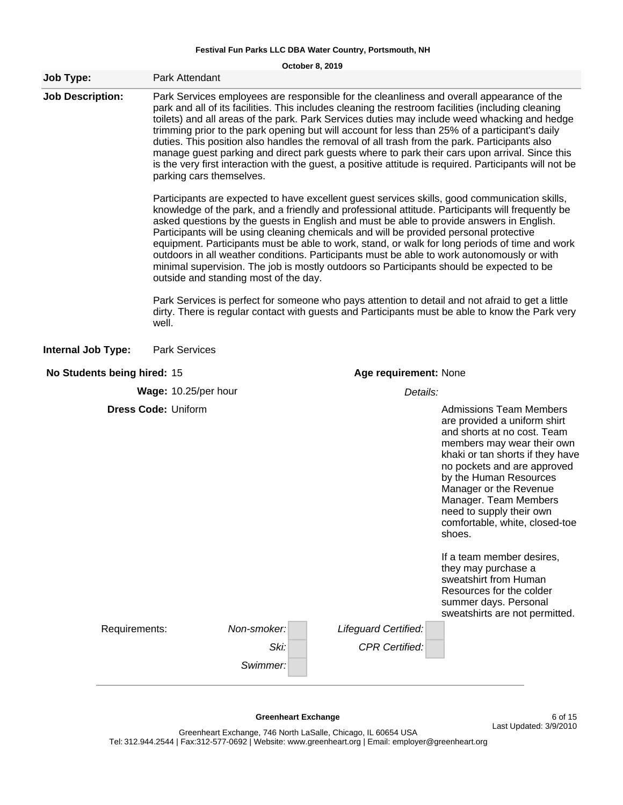**October 8, 2019**

| <b>Job Type:</b>            | Park Attendant                                                                                                                                                                                                                                                                                                                                                                                                                                                                                                                                                                                                                                                                                                                                                                                                                                                                                                                      |                       |                       |                                                                                                                                                                                                                                                                                                                                                                                                                                                              |  |  |  |  |  |
|-----------------------------|-------------------------------------------------------------------------------------------------------------------------------------------------------------------------------------------------------------------------------------------------------------------------------------------------------------------------------------------------------------------------------------------------------------------------------------------------------------------------------------------------------------------------------------------------------------------------------------------------------------------------------------------------------------------------------------------------------------------------------------------------------------------------------------------------------------------------------------------------------------------------------------------------------------------------------------|-----------------------|-----------------------|--------------------------------------------------------------------------------------------------------------------------------------------------------------------------------------------------------------------------------------------------------------------------------------------------------------------------------------------------------------------------------------------------------------------------------------------------------------|--|--|--|--|--|
| <b>Job Description:</b>     | Park Services employees are responsible for the cleanliness and overall appearance of the<br>park and all of its facilities. This includes cleaning the restroom facilities (including cleaning<br>toilets) and all areas of the park. Park Services duties may include weed whacking and hedge<br>trimming prior to the park opening but will account for less than 25% of a participant's daily<br>duties. This position also handles the removal of all trash from the park. Participants also<br>manage guest parking and direct park guests where to park their cars upon arrival. Since this<br>is the very first interaction with the guest, a positive attitude is required. Participants will not be                                                                                                                                                                                                                       |                       |                       |                                                                                                                                                                                                                                                                                                                                                                                                                                                              |  |  |  |  |  |
|                             | Participants are expected to have excellent guest services skills, good communication skills,<br>knowledge of the park, and a friendly and professional attitude. Participants will frequently be<br>asked questions by the guests in English and must be able to provide answers in English.<br>Participants will be using cleaning chemicals and will be provided personal protective<br>equipment. Participants must be able to work, stand, or walk for long periods of time and work<br>outdoors in all weather conditions. Participants must be able to work autonomously or with<br>minimal supervision. The job is mostly outdoors so Participants should be expected to be<br>outside and standing most of the day.<br>Park Services is perfect for someone who pays attention to detail and not afraid to get a little<br>dirty. There is regular contact with guests and Participants must be able to know the Park very |                       |                       |                                                                                                                                                                                                                                                                                                                                                                                                                                                              |  |  |  |  |  |
|                             | well.                                                                                                                                                                                                                                                                                                                                                                                                                                                                                                                                                                                                                                                                                                                                                                                                                                                                                                                               |                       |                       |                                                                                                                                                                                                                                                                                                                                                                                                                                                              |  |  |  |  |  |
| <b>Internal Job Type:</b>   | <b>Park Services</b>                                                                                                                                                                                                                                                                                                                                                                                                                                                                                                                                                                                                                                                                                                                                                                                                                                                                                                                |                       |                       |                                                                                                                                                                                                                                                                                                                                                                                                                                                              |  |  |  |  |  |
| No Students being hired: 15 |                                                                                                                                                                                                                                                                                                                                                                                                                                                                                                                                                                                                                                                                                                                                                                                                                                                                                                                                     | Age requirement: None |                       |                                                                                                                                                                                                                                                                                                                                                                                                                                                              |  |  |  |  |  |
|                             | Wage: 10.25/per hour                                                                                                                                                                                                                                                                                                                                                                                                                                                                                                                                                                                                                                                                                                                                                                                                                                                                                                                |                       | Details:              |                                                                                                                                                                                                                                                                                                                                                                                                                                                              |  |  |  |  |  |
|                             | <b>Dress Code: Uniform</b>                                                                                                                                                                                                                                                                                                                                                                                                                                                                                                                                                                                                                                                                                                                                                                                                                                                                                                          |                       |                       | <b>Admissions Team Members</b><br>are provided a uniform shirt<br>and shorts at no cost. Team<br>members may wear their own<br>khaki or tan shorts if they have<br>no pockets and are approved<br>by the Human Resources<br>Manager or the Revenue<br>Manager. Team Members<br>need to supply their own<br>comfortable, white, closed-toe<br>shoes.<br>If a team member desires,<br>they may purchase a<br>sweatshirt from Human<br>Resources for the colder |  |  |  |  |  |
| Requirements:               |                                                                                                                                                                                                                                                                                                                                                                                                                                                                                                                                                                                                                                                                                                                                                                                                                                                                                                                                     | Non-smoker:           | Lifeguard Certified:  | summer days. Personal<br>sweatshirts are not permitted.                                                                                                                                                                                                                                                                                                                                                                                                      |  |  |  |  |  |
|                             |                                                                                                                                                                                                                                                                                                                                                                                                                                                                                                                                                                                                                                                                                                                                                                                                                                                                                                                                     | Ski:<br>Swimmer:      | <b>CPR Certified:</b> |                                                                                                                                                                                                                                                                                                                                                                                                                                                              |  |  |  |  |  |
|                             |                                                                                                                                                                                                                                                                                                                                                                                                                                                                                                                                                                                                                                                                                                                                                                                                                                                                                                                                     |                       |                       |                                                                                                                                                                                                                                                                                                                                                                                                                                                              |  |  |  |  |  |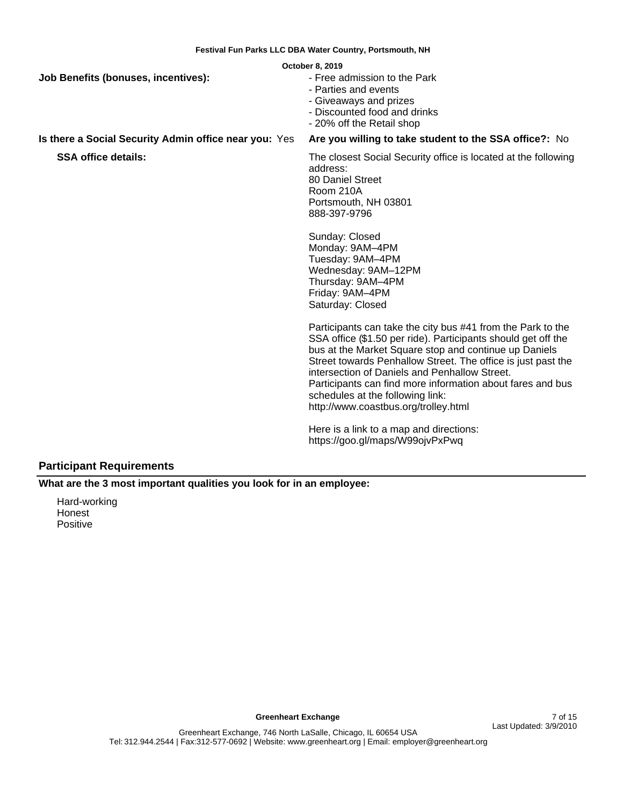|                                                       | October 8, 2019                                                                                                                                                                                                                                                                                                                                                                                                                                                                                                                                                                                                                                                                                                                                     |
|-------------------------------------------------------|-----------------------------------------------------------------------------------------------------------------------------------------------------------------------------------------------------------------------------------------------------------------------------------------------------------------------------------------------------------------------------------------------------------------------------------------------------------------------------------------------------------------------------------------------------------------------------------------------------------------------------------------------------------------------------------------------------------------------------------------------------|
| <b>Job Benefits (bonuses, incentives):</b>            | - Free admission to the Park<br>- Parties and events<br>- Giveaways and prizes<br>- Discounted food and drinks<br>- 20% off the Retail shop                                                                                                                                                                                                                                                                                                                                                                                                                                                                                                                                                                                                         |
| Is there a Social Security Admin office near you: Yes | Are you willing to take student to the SSA office?: No                                                                                                                                                                                                                                                                                                                                                                                                                                                                                                                                                                                                                                                                                              |
| <b>SSA office details:</b>                            | The closest Social Security office is located at the following<br>address:<br>80 Daniel Street<br>Room 210A<br>Portsmouth, NH 03801<br>888-397-9796<br>Sunday: Closed<br>Monday: 9AM-4PM<br>Tuesday: 9AM-4PM<br>Wednesday: 9AM-12PM<br>Thursday: 9AM-4PM<br>Friday: 9AM-4PM<br>Saturday: Closed<br>Participants can take the city bus #41 from the Park to the<br>SSA office (\$1.50 per ride). Participants should get off the<br>bus at the Market Square stop and continue up Daniels<br>Street towards Penhallow Street. The office is just past the<br>intersection of Daniels and Penhallow Street.<br>Participants can find more information about fares and bus<br>schedules at the following link:<br>http://www.coastbus.org/trolley.html |

Here is a link to a map and directions: https://goo.gl/maps/W99ojvPxPwq

# **Participant Requirements**

**What are the 3 most important qualities you look for in an employee:**

Hard-working Honest Positive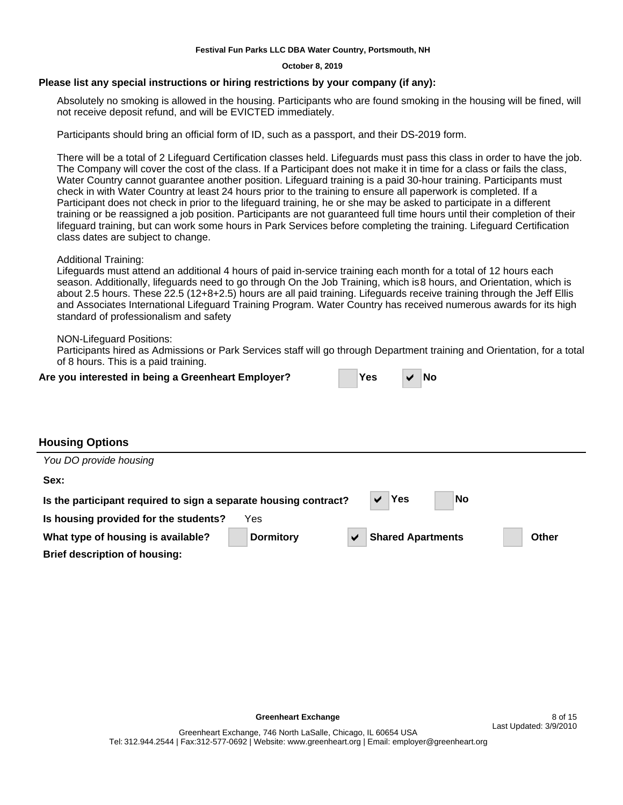#### **October 8, 2019**

### **Please list any special instructions or hiring restrictions by your company (if any):**

Absolutely no smoking is allowed in the housing. Participants who are found smoking in the housing will be fined, will not receive deposit refund, and will be EVICTED immediately.

Participants should bring an official form of ID, such as a passport, and their DS-2019 form.

There will be a total of 2 Lifeguard Certification classes held. Lifeguards must pass this class in order to have the job. The Company will cover the cost of the class. If a Participant does not make it in time for a class or fails the class, Water Country cannot guarantee another position. Lifeguard training is a paid 30-hour training. Participants must check in with Water Country at least 24 hours prior to the training to ensure all paperwork is completed. If a Participant does not check in prior to the lifeguard training, he or she may be asked to participate in a different training or be reassigned a job position. Participants are not guaranteed full time hours until their completion of their lifeguard training, but can work some hours in Park Services before completing the training. Lifeguard Certification class dates are subject to change.

Additional Training:

Lifeguards must attend an additional 4 hours of paid in-service training each month for a total of 12 hours each season. Additionally, lifeguards need to go through On the Job Training, which is 8 hours, and Orientation, which is about 2.5 hours. These 22.5 (12+8+2.5) hours are all paid training. Lifeguards receive training through the Jeff Ellis and Associates International Lifeguard Training Program. Water Country has received numerous awards for its high standard of professionalism and safety

NON-Lifeguard Positions:

Participants hired as Admissions or Park Services staff will go through Department training and Orientation, for a total of 8 hours. This is a paid training.

| Are you interested in being a Greenheart Employer? | ∣Yes | $\vee$ No |  |
|----------------------------------------------------|------|-----------|--|
|                                                    |      |           |  |

| <b>Yes</b> | $\vee$ No |  |
|------------|-----------|--|
|------------|-----------|--|

## **Housing Options**

| You DO provide housing                                           |                  |                          |              |
|------------------------------------------------------------------|------------------|--------------------------|--------------|
| Sex:                                                             |                  |                          |              |
| Is the participant required to sign a separate housing contract? |                  | Yes<br>No                |              |
| Is housing provided for the students?                            | Yes              |                          |              |
| What type of housing is available?                               | <b>Dormitory</b> | <b>Shared Apartments</b> | <b>Other</b> |
| <b>Brief description of housing:</b>                             |                  |                          |              |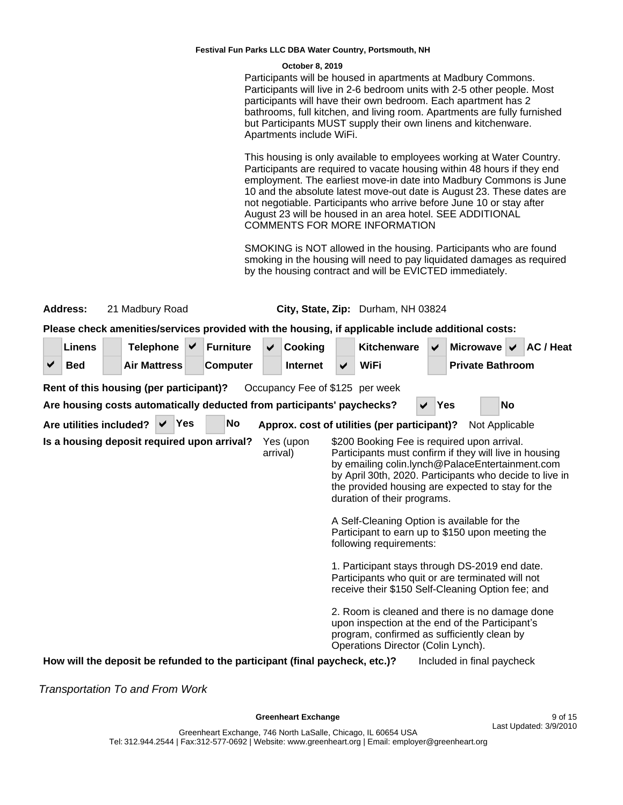#### **October 8, 2019**

Participants will be housed in apartments at Madbury Commons. Participants will live in 2-6 bedroom units with 2-5 other people. Most participants will have their own bedroom. Each apartment has 2 bathrooms, full kitchen, and living room. Apartments are fully furnished but Participants MUST supply their own linens and kitchenware. Apartments include WiFi.

This housing is only available to employees working at Water Country. Participants are required to vacate housing within 48 hours if they end employment. The earliest move-in date into Madbury Commons is June 10 and the absolute latest move-out date is August 23. These dates are not negotiable. Participants who arrive before June 10 or stay after August 23 will be housed in an area hotel. SEE ADDITIONAL COMMENTS FOR MORE INFORMATION

SMOKING is NOT allowed in the housing. Participants who are found smoking in the housing will need to pay liquidated damages as required by the housing contract and will be EVICTED immediately.

|                                                                                                                                                                                                                                                                                                                                                                                                                                                                                                                                                                                                                                                                          | Address:                                | 21 Madbury Road<br>City, State, Zip: Durham, NH 03824 |  |                     |  |                  |           |   |                                                                             |   |                                                                                                                                                                                        |              |     |                                           |           |           |
|--------------------------------------------------------------------------------------------------------------------------------------------------------------------------------------------------------------------------------------------------------------------------------------------------------------------------------------------------------------------------------------------------------------------------------------------------------------------------------------------------------------------------------------------------------------------------------------------------------------------------------------------------------------------------|-----------------------------------------|-------------------------------------------------------|--|---------------------|--|------------------|-----------|---|-----------------------------------------------------------------------------|---|----------------------------------------------------------------------------------------------------------------------------------------------------------------------------------------|--------------|-----|-------------------------------------------|-----------|-----------|
|                                                                                                                                                                                                                                                                                                                                                                                                                                                                                                                                                                                                                                                                          |                                         |                                                       |  |                     |  |                  |           |   |                                                                             |   | Please check amenities/services provided with the housing, if applicable include additional costs:                                                                                     |              |     |                                           |           |           |
|                                                                                                                                                                                                                                                                                                                                                                                                                                                                                                                                                                                                                                                                          | <b>Linens</b>                           |                                                       |  | <b>Telephone</b>    |  | <b>Furniture</b> |           | ✔ | Cooking                                                                     |   | Kitchenware                                                                                                                                                                            | ✔            |     | Microwave $\overline{\smash{\checkmark}}$ |           | AC / Heat |
| ✔                                                                                                                                                                                                                                                                                                                                                                                                                                                                                                                                                                                                                                                                        | <b>Bed</b>                              |                                                       |  | <b>Air Mattress</b> |  | <b>Computer</b>  |           |   | <b>Internet</b>                                                             | ✔ | <b>WiFi</b>                                                                                                                                                                            |              |     | <b>Private Bathroom</b>                   |           |           |
|                                                                                                                                                                                                                                                                                                                                                                                                                                                                                                                                                                                                                                                                          | Rent of this housing (per participant)? |                                                       |  |                     |  |                  |           |   | Occupancy Fee of \$125 per week                                             |   |                                                                                                                                                                                        |              |     |                                           |           |           |
|                                                                                                                                                                                                                                                                                                                                                                                                                                                                                                                                                                                                                                                                          |                                         |                                                       |  |                     |  |                  |           |   | Are housing costs automatically deducted from participants' paychecks?      |   |                                                                                                                                                                                        | $\checkmark$ | Yes |                                           | <b>No</b> |           |
|                                                                                                                                                                                                                                                                                                                                                                                                                                                                                                                                                                                                                                                                          | Are utilities included?                 |                                                       |  | Yes                 |  |                  | <b>No</b> |   |                                                                             |   | Approx. cost of utilities (per participant)?                                                                                                                                           |              |     | Not Applicable                            |           |           |
| Is a housing deposit required upon arrival?<br>Yes (upon<br>\$200 Booking Fee is required upon arrival.<br>Participants must confirm if they will live in housing<br>arrival)<br>by emailing colin.lynch@PalaceEntertainment.com<br>by April 30th, 2020. Participants who decide to live in<br>the provided housing are expected to stay for the<br>duration of their programs.<br>A Self-Cleaning Option is available for the<br>Participant to earn up to \$150 upon meeting the<br>following requirements:<br>1. Participant stays through DS-2019 end date.<br>Participants who quit or are terminated will not<br>receive their \$150 Self-Cleaning Option fee; and |                                         |                                                       |  |                     |  |                  |           |   |                                                                             |   |                                                                                                                                                                                        |              |     |                                           |           |           |
|                                                                                                                                                                                                                                                                                                                                                                                                                                                                                                                                                                                                                                                                          |                                         |                                                       |  |                     |  |                  |           |   |                                                                             |   | 2. Room is cleaned and there is no damage done<br>upon inspection at the end of the Participant's<br>program, confirmed as sufficiently clean by<br>Operations Director (Colin Lynch). |              |     |                                           |           |           |
|                                                                                                                                                                                                                                                                                                                                                                                                                                                                                                                                                                                                                                                                          |                                         |                                                       |  |                     |  |                  |           |   | How will the deposit be refunded to the participant (final paycheck, etc.)? |   |                                                                                                                                                                                        |              |     | Included in final paycheck                |           |           |

Transportation To and From Work

Greenheart Exchange **9 of 15**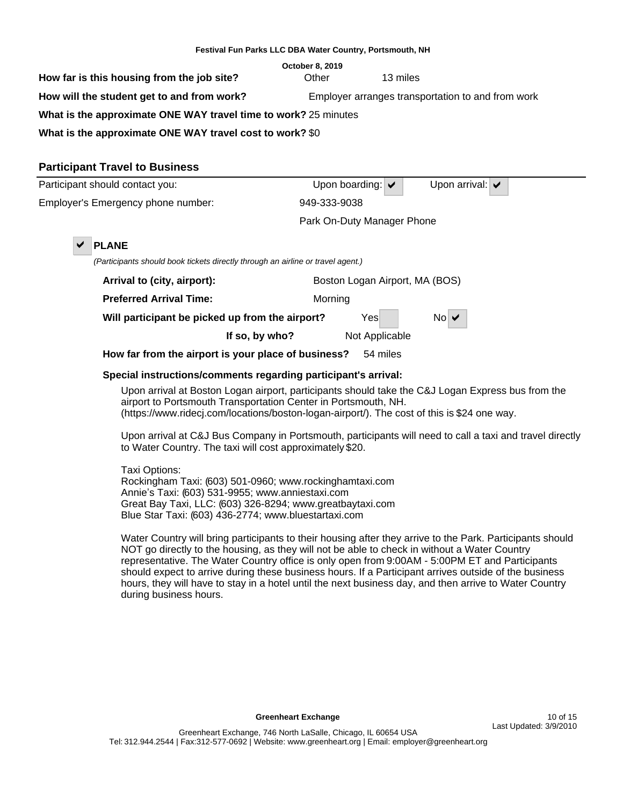| Festival Fun Parks LLC DBA Water Country, Portsmouth, NH                                        |                            |                                      |                                    |  |  |  |  |
|-------------------------------------------------------------------------------------------------|----------------------------|--------------------------------------|------------------------------------|--|--|--|--|
| How far is this housing from the job site?                                                      | October 8, 2019<br>Other   | 13 miles                             |                                    |  |  |  |  |
| How will the student get to and from work?<br>Employer arranges transportation to and from work |                            |                                      |                                    |  |  |  |  |
| What is the approximate ONE WAY travel time to work? 25 minutes                                 |                            |                                      |                                    |  |  |  |  |
| What is the approximate ONE WAY travel cost to work? \$0                                        |                            |                                      |                                    |  |  |  |  |
| <b>Participant Travel to Business</b>                                                           |                            |                                      |                                    |  |  |  |  |
| Participant should contact you:                                                                 |                            | Upon boarding: $\blacktriangleright$ | Upon arrival: $\blacktriangledown$ |  |  |  |  |
| Employer's Emergency phone number:                                                              | 949-333-9038               |                                      |                                    |  |  |  |  |
|                                                                                                 | Park On-Duty Manager Phone |                                      |                                    |  |  |  |  |
| <b>PLANE</b><br>✔                                                                               |                            |                                      |                                    |  |  |  |  |
| (Participants should book tickets directly through an airline or travel agent.)                 |                            |                                      |                                    |  |  |  |  |
| Arrival to (city, airport):                                                                     |                            | Boston Logan Airport, MA (BOS)       |                                    |  |  |  |  |
| <b>Preferred Arrival Time:</b>                                                                  | Morning                    |                                      |                                    |  |  |  |  |
| Will participant be picked up from the airport?                                                 |                            | Yes                                  | $No \vee$                          |  |  |  |  |
| If so, by who?                                                                                  |                            | Not Applicable                       |                                    |  |  |  |  |
| How far from the airport is your place of business?                                             |                            | 54 miles                             |                                    |  |  |  |  |

## **Special instructions/comments regarding participant's arrival:**

Upon arrival at Boston Logan airport, participants should take the C&J Logan Express bus from the airport to Portsmouth Transportation Center in Portsmouth, NH. (https://www.ridecj.com/locations/boston-logan-airport/). The cost of this is \$24 one way.

Upon arrival at C&J Bus Company in Portsmouth, participants will need to call a taxi and travel directly to Water Country. The taxi will cost approximately \$20.

Taxi Options: Rockingham Taxi: (603) 501-0960; www.rockinghamtaxi.com Annie's Taxi: (603) 531-9955; www.anniestaxi.com Great Bay Taxi, LLC: (603) 326-8294; www.greatbaytaxi.com Blue Star Taxi: (603) 436-2774; www.bluestartaxi.com

Water Country will bring participants to their housing after they arrive to the Park. Participants should NOT go directly to the housing, as they will not be able to check in without a Water Country representative. The Water Country office is only open from 9:00AM - 5:00PM ET and Participants should expect to arrive during these business hours. If a Participant arrives outside of the business hours, they will have to stay in a hotel until the next business day, and then arrive to Water Country during business hours.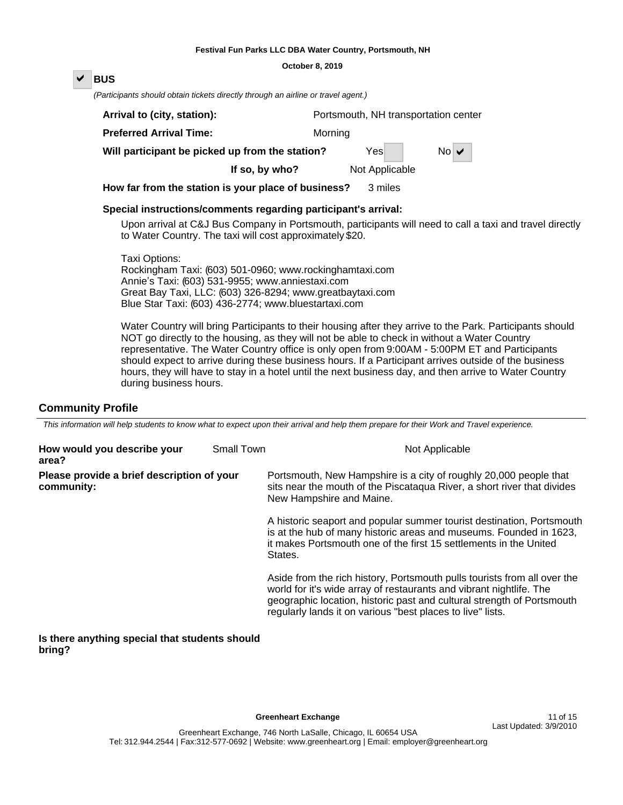#### **October 8, 2019**

## D **BUS**

(Participants should obtain tickets directly through an airline or travel agent.)

| Arrival to (city, station):                     |         | Portsmouth, NH transportation center |     |
|-------------------------------------------------|---------|--------------------------------------|-----|
| <b>Preferred Arrival Time:</b>                  | Morning |                                      |     |
| Will participant be picked up from the station? |         | Yesl                                 | NoV |
| If so, by who?                                  |         | Not Applicable                       |     |

**How far from the station is your place of business?** 3 miles

## **Special instructions/comments regarding participant's arrival:**

Upon arrival at C&J Bus Company in Portsmouth, participants will need to call a taxi and travel directly to Water Country. The taxi will cost approximately \$20.

Taxi Options: Rockingham Taxi: (603) 501-0960; www.rockinghamtaxi.com Annie's Taxi: (603) 531-9955; www.anniestaxi.com Great Bay Taxi, LLC: (603) 326-8294; www.greatbaytaxi.com Blue Star Taxi: (603) 436-2774; www.bluestartaxi.com

Water Country will bring Participants to their housing after they arrive to the Park. Participants should NOT go directly to the housing, as they will not be able to check in without a Water Country representative. The Water Country office is only open from 9:00AM - 5:00PM ET and Participants should expect to arrive during these business hours. If a Participant arrives outside of the business hours, they will have to stay in a hotel until the next business day, and then arrive to Water Country during business hours.

## **Community Profile**

This information will help students to know what to expect upon their arrival and help them prepare for their Work and Travel experience.

| How would you describe your<br>area?                     | Small Town | Not Applicable                                                                                                                                                                                                                                                                          |
|----------------------------------------------------------|------------|-----------------------------------------------------------------------------------------------------------------------------------------------------------------------------------------------------------------------------------------------------------------------------------------|
| Please provide a brief description of your<br>community: |            | Portsmouth, New Hampshire is a city of roughly 20,000 people that<br>sits near the mouth of the Piscataqua River, a short river that divides<br>New Hampshire and Maine.                                                                                                                |
|                                                          |            | A historic seaport and popular summer tourist destination, Portsmouth<br>is at the hub of many historic areas and museums. Founded in 1623,<br>it makes Portsmouth one of the first 15 settlements in the United<br>States.                                                             |
|                                                          |            | Aside from the rich history, Portsmouth pulls tourists from all over the<br>world for it's wide array of restaurants and vibrant nightlife. The<br>geographic location, historic past and cultural strength of Portsmouth<br>regularly lands it on various "best places to live" lists. |

#### **Is there anything special that students should bring?**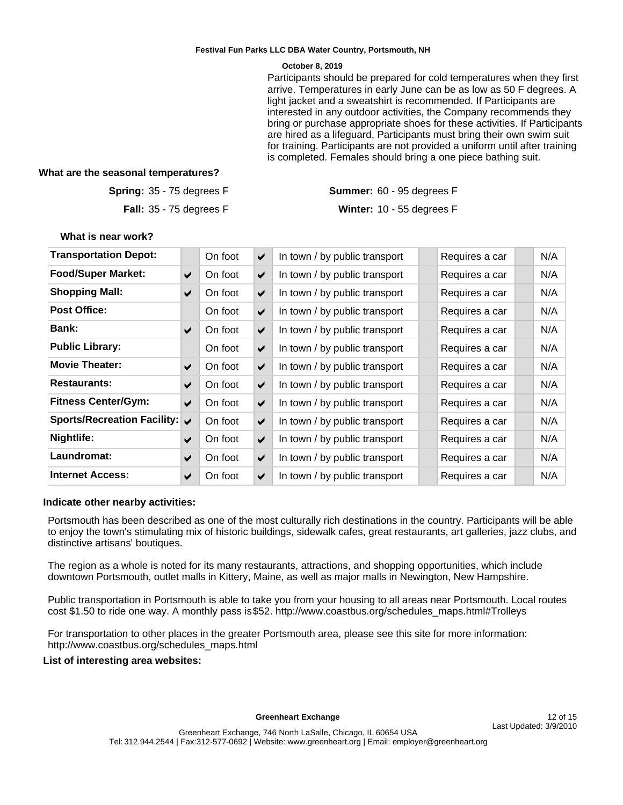#### **October 8, 2019**

Participants should be prepared for cold temperatures when they first arrive. Temperatures in early June can be as low as 50 F degrees. A light jacket and a sweatshirt is recommended. If Participants are interested in any outdoor activities, the Company recommends they bring or purchase appropriate shoes for these activities. If Participants are hired as a lifeguard, Participants must bring their own swim suit for training. Participants are not provided a uniform until after training is completed. Females should bring a one piece bathing suit.

## **What are the seasonal temperatures?**

**Spring: 35 - 75 degrees F** 

**Fall:** 35 - 75 degrees F

35 - 75 degrees F 60 - 95 degrees F Winter: 10 - 55 degrees F

#### **What is near work?**

| <b>Transportation Depot:</b>  |                       | On foot | $\blacktriangledown$ | In town / by public transport | Requires a car | N/A |
|-------------------------------|-----------------------|---------|----------------------|-------------------------------|----------------|-----|
| <b>Food/Super Market:</b>     | $\blacktriangledown$  | On foot | $\blacktriangledown$ | In town / by public transport | Requires a car | N/A |
| <b>Shopping Mall:</b>         | $\blacktriangledown$  | On foot | $\blacktriangledown$ | In town / by public transport | Requires a car | N/A |
| <b>Post Office:</b>           |                       | On foot | $\blacktriangledown$ | In town / by public transport | Requires a car | N/A |
| <b>Bank:</b>                  | $\blacktriangledown$  | On foot | $\blacktriangledown$ | In town / by public transport | Requires a car | N/A |
| <b>Public Library:</b>        |                       | On foot | $\blacktriangledown$ | In town / by public transport | Requires a car | N/A |
| <b>Movie Theater:</b>         | ✔                     | On foot | $\blacktriangledown$ | In town / by public transport | Requires a car | N/A |
| <b>Restaurants:</b>           | ✔                     | On foot | $\blacktriangledown$ | In town / by public transport | Requires a car | N/A |
| <b>Fitness Center/Gym:</b>    | $\blacktriangleright$ | On foot | ✔                    | In town / by public transport | Requires a car | N/A |
| Sports/Recreation Facility: V |                       | On foot | $\blacktriangledown$ | In town / by public transport | Requires a car | N/A |
| Nightlife:                    | ✔                     | On foot | $\blacktriangledown$ | In town / by public transport | Requires a car | N/A |
| Laundromat:                   | ✔                     | On foot | $\blacktriangledown$ | In town / by public transport | Requires a car | N/A |
| <b>Internet Access:</b>       | ✔                     | On foot | $\blacktriangledown$ | In town / by public transport | Requires a car | N/A |

## **Indicate other nearby activities:**

Portsmouth has been described as one of the most culturally rich destinations in the country. Participants will be able to enjoy the town's stimulating mix of historic buildings, sidewalk cafes, great restaurants, art galleries, jazz clubs, and distinctive artisans' boutiques.

The region as a whole is noted for its many restaurants, attractions, and shopping opportunities, which include downtown Portsmouth, outlet malls in Kittery, Maine, as well as major malls in Newington, New Hampshire.

Public transportation in Portsmouth is able to take you from your housing to all areas near Portsmouth. Local routes cost \$1.50 to ride one way. A monthly pass is \$52. http://www.coastbus.org/schedules\_maps.html#Trolleys

For transportation to other places in the greater Portsmouth area, please see this site for more information: http://www.coastbus.org/schedules\_maps.html

## **List of interesting area websites:**

Greenheart Exchange **12 of 15**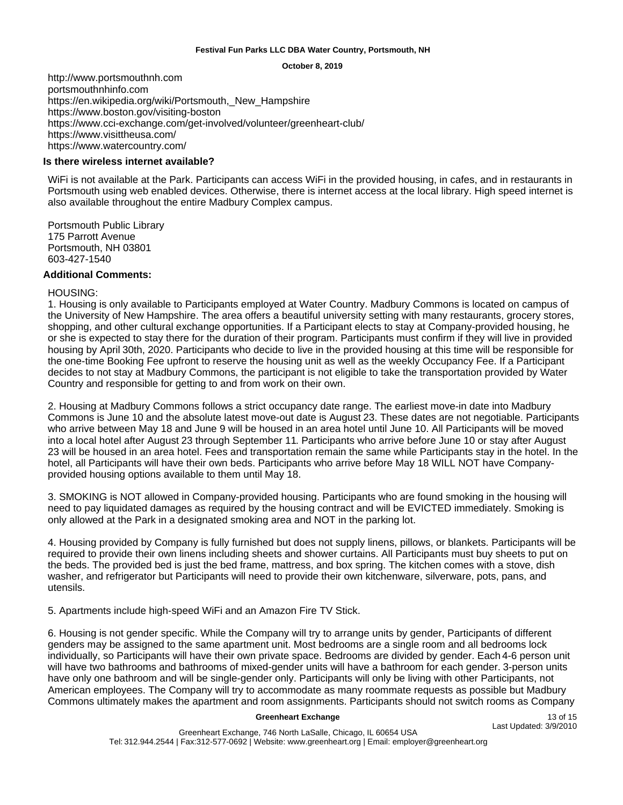**October 8, 2019**

http://www.portsmouthnh.com portsmouthnhinfo.com https://en.wikipedia.org/wiki/Portsmouth,\_New\_Hampshire https://www.boston.gov/visiting-boston https://www.cci-exchange.com/get-involved/volunteer/greenheart-club/ https://www.visittheusa.com/ https://www.watercountry.com/

## **Is there wireless internet available?**

WiFi is not available at the Park. Participants can access WiFi in the provided housing, in cafes, and in restaurants in Portsmouth using web enabled devices. Otherwise, there is internet access at the local library. High speed internet is also available throughout the entire Madbury Complex campus.

Portsmouth Public Library 175 Parrott Avenue Portsmouth, NH 03801 603-427-1540

## **Additional Comments:**

#### HOUSING:

1. Housing is only available to Participants employed at Water Country. Madbury Commons is located on campus of the University of New Hampshire. The area offers a beautiful university setting with many restaurants, grocery stores, shopping, and other cultural exchange opportunities. If a Participant elects to stay at Company-provided housing, he or she is expected to stay there for the duration of their program. Participants must confirm if they will live in provided housing by April 30th, 2020. Participants who decide to live in the provided housing at this time will be responsible for the one-time Booking Fee upfront to reserve the housing unit as well as the weekly Occupancy Fee. If a Participant decides to not stay at Madbury Commons, the participant is not eligible to take the transportation provided by Water Country and responsible for getting to and from work on their own.

2. Housing at Madbury Commons follows a strict occupancy date range. The earliest move-in date into Madbury Commons is June 10 and the absolute latest move-out date is August 23. These dates are not negotiable. Participants who arrive between May 18 and June 9 will be housed in an area hotel until June 10. All Participants will be moved into a local hotel after August 23 through September 11. Participants who arrive before June 10 or stay after August 23 will be housed in an area hotel. Fees and transportation remain the same while Participants stay in the hotel. In the hotel, all Participants will have their own beds. Participants who arrive before May 18 WILL NOT have Companyprovided housing options available to them until May 18.

3. SMOKING is NOT allowed in Company-provided housing. Participants who are found smoking in the housing will need to pay liquidated damages as required by the housing contract and will be EVICTED immediately. Smoking is only allowed at the Park in a designated smoking area and NOT in the parking lot.

4. Housing provided by Company is fully furnished but does not supply linens, pillows, or blankets. Participants will be required to provide their own linens including sheets and shower curtains. All Participants must buy sheets to put on the beds. The provided bed is just the bed frame, mattress, and box spring. The kitchen comes with a stove, dish washer, and refrigerator but Participants will need to provide their own kitchenware, silverware, pots, pans, and utensils.

5. Apartments include high-speed WiFi and an Amazon Fire TV Stick.

6. Housing is not gender specific. While the Company will try to arrange units by gender, Participants of different genders may be assigned to the same apartment unit. Most bedrooms are a single room and all bedrooms lock individually, so Participants will have their own private space. Bedrooms are divided by gender. Each 4-6 person unit will have two bathrooms and bathrooms of mixed-gender units will have a bathroom for each gender. 3-person units have only one bathroom and will be single-gender only. Participants will only be living with other Participants, not American employees. The Company will try to accommodate as many roommate requests as possible but Madbury Commons ultimately makes the apartment and room assignments. Participants should not switch rooms as Company

#### Greenheart Exchange 13 of 15

Last Updated: 3/9/2010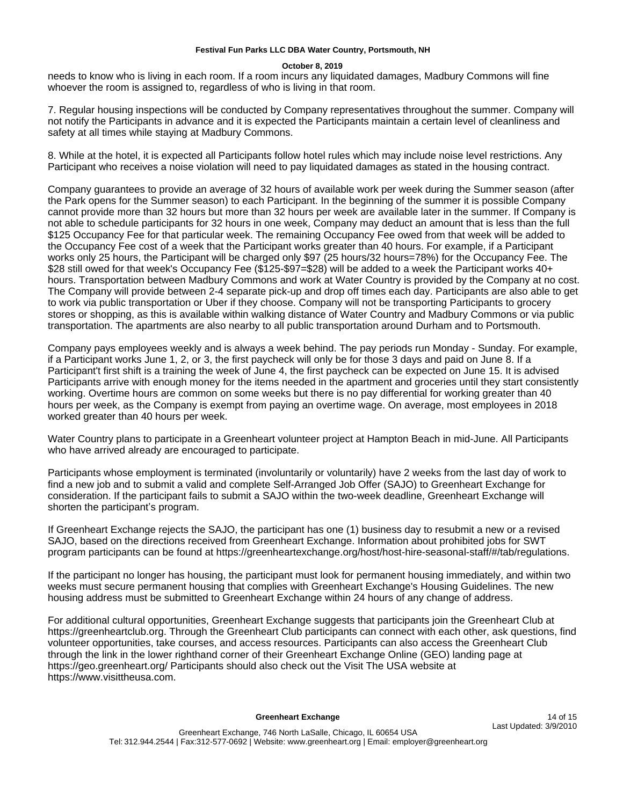#### **October 8, 2019**

needs to know who is living in each room. If a room incurs any liquidated damages, Madbury Commons will fine whoever the room is assigned to, regardless of who is living in that room.

7. Regular housing inspections will be conducted by Company representatives throughout the summer. Company will not notify the Participants in advance and it is expected the Participants maintain a certain level of cleanliness and safety at all times while staying at Madbury Commons.

8. While at the hotel, it is expected all Participants follow hotel rules which may include noise level restrictions. Any Participant who receives a noise violation will need to pay liquidated damages as stated in the housing contract.

Company guarantees to provide an average of 32 hours of available work per week during the Summer season (after the Park opens for the Summer season) to each Participant. In the beginning of the summer it is possible Company cannot provide more than 32 hours but more than 32 hours per week are available later in the summer. If Company is not able to schedule participants for 32 hours in one week, Company may deduct an amount that is less than the full \$125 Occupancy Fee for that particular week. The remaining Occupancy Fee owed from that week will be added to the Occupancy Fee cost of a week that the Participant works greater than 40 hours. For example, if a Participant works only 25 hours, the Participant will be charged only \$97 (25 hours/32 hours=78%) for the Occupancy Fee. The \$28 still owed for that week's Occupancy Fee (\$125-\$97=\$28) will be added to a week the Participant works 40+ hours. Transportation between Madbury Commons and work at Water Country is provided by the Company at no cost. The Company will provide between 2-4 separate pick-up and drop off times each day. Participants are also able to get to work via public transportation or Uber if they choose. Company will not be transporting Participants to grocery stores or shopping, as this is available within walking distance of Water Country and Madbury Commons or via public transportation. The apartments are also nearby to all public transportation around Durham and to Portsmouth.

Company pays employees weekly and is always a week behind. The pay periods run Monday - Sunday. For example, if a Participant works June 1, 2, or 3, the first paycheck will only be for those 3 days and paid on June 8. If a Participant't first shift is a training the week of June 4, the first paycheck can be expected on June 15. It is advised Participants arrive with enough money for the items needed in the apartment and groceries until they start consistently working. Overtime hours are common on some weeks but there is no pay differential for working greater than 40 hours per week, as the Company is exempt from paying an overtime wage. On average, most employees in 2018 worked greater than 40 hours per week.

Water Country plans to participate in a Greenheart volunteer project at Hampton Beach in mid-June. All Participants who have arrived already are encouraged to participate.

Participants whose employment is terminated (involuntarily or voluntarily) have 2 weeks from the last day of work to find a new job and to submit a valid and complete Self-Arranged Job Offer (SAJO) to Greenheart Exchange for consideration. If the participant fails to submit a SAJO within the two-week deadline, Greenheart Exchange will shorten the participant's program.

If Greenheart Exchange rejects the SAJO, the participant has one (1) business day to resubmit a new or a revised SAJO, based on the directions received from Greenheart Exchange. Information about prohibited jobs for SWT program participants can be found at https://greenheartexchange.org/host/host-hire-seasonal-staff/#/tab/regulations.

If the participant no longer has housing, the participant must look for permanent housing immediately, and within two weeks must secure permanent housing that complies with Greenheart Exchange's Housing Guidelines. The new housing address must be submitted to Greenheart Exchange within 24 hours of any change of address.

For additional cultural opportunities, Greenheart Exchange suggests that participants join the Greenheart Club at https://greenheartclub.org. Through the Greenheart Club participants can connect with each other, ask questions, find volunteer opportunities, take courses, and access resources. Participants can also access the Greenheart Club through the link in the lower righthand corner of their Greenheart Exchange Online (GEO) landing page at https://geo.greenheart.org/ Participants should also check out the Visit The USA website at https://www.visittheusa.com.